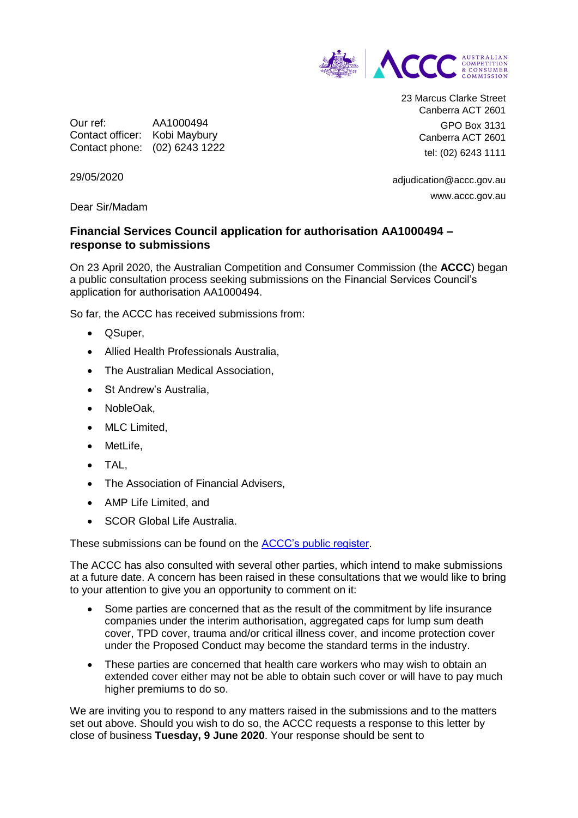

Our ref: AA1000494 Contact officer: Kobi Maybury Contact phone: (02) 6243 1222 23 Marcus Clarke Street Canberra ACT 2601 GPO Box 3131 Canberra ACT 2601 tel: (02) 6243 1111

adjudication@accc.gov.au www.accc.gov.au

29/05/2020

Dear Sir/Madam

## **Financial Services Council application for authorisation AA1000494 – response to submissions**

On 23 April 2020, the Australian Competition and Consumer Commission (the **ACCC**) began a public consultation process seeking submissions on the Financial Services Council's application for authorisation AA1000494.

So far, the ACCC has received submissions from:

- QSuper,
- Allied Health Professionals Australia,
- The Australian Medical Association,
- St Andrew's Australia.
- NobleOak,
- MLC Limited.
- MetLife,
- TAL,
- The Association of Financial Advisers,
- AMP Life Limited, and
- SCOR Global Life Australia.

These submissions can be found on the [ACCC's public register.](https://www.accc.gov.au/public-registers/authorisations-and-notifications-registers/authorisations-register/financial-services-council-fsc-on-behalf-of-its-member-life-insurance-companies)

The ACCC has also consulted with several other parties, which intend to make submissions at a future date. A concern has been raised in these consultations that we would like to bring to your attention to give you an opportunity to comment on it:

- Some parties are concerned that as the result of the commitment by life insurance companies under the interim authorisation, aggregated caps for lump sum death cover, TPD cover, trauma and/or critical illness cover, and income protection cover under the Proposed Conduct may become the standard terms in the industry.
- These parties are concerned that health care workers who may wish to obtain an extended cover either may not be able to obtain such cover or will have to pay much higher premiums to do so.

We are inviting you to respond to any matters raised in the submissions and to the matters set out above. Should you wish to do so, the ACCC requests a response to this letter by close of business **Tuesday, 9 June 2020**. Your response should be sent to